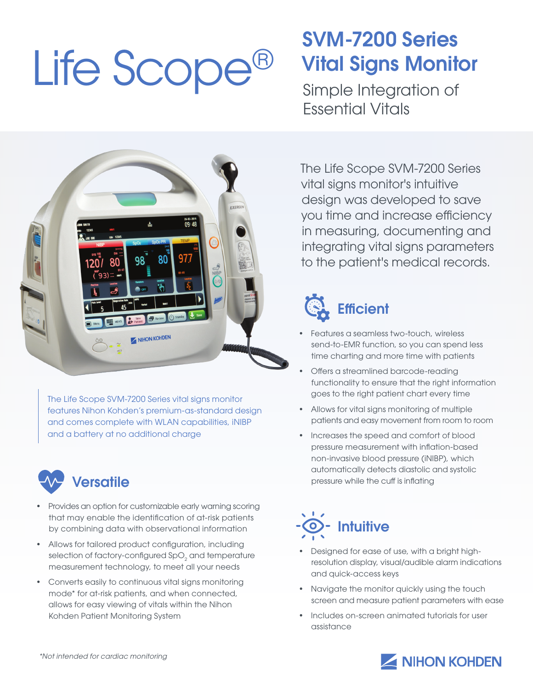# Life Scope®

## SVM-7200 Series Vital Signs Monitor

Simple Integration of Essential Vitals



The Life Scope SVM-7200 Series vital signs monitor features Nihon Kohden's premium-as-standard design and comes complete with WLAN capabilities, iNIBP and a battery at no additional charge



- Provides an option for customizable early warning scoring that may enable the identification of at-risk patients by combining data with observational information
- Allows for tailored product configuration, including selection of factory-configured SpO $_2$  and temperature measurement technology, to meet all your needs
- Converts easily to continuous vital signs monitoring mode\* for at-risk patients, and when connected, allows for easy viewing of vitals within the Nihon Kohden Patient Monitoring System

The Life Scope SVM-7200 Series vital signs monitor's intuitive design was developed to save you time and increase efficiency in measuring, documenting and integrating vital signs parameters to the patient's medical records.

# **Efficient**

- Features a seamless two-touch, wireless send-to-EMR function, so you can spend less time charting and more time with patients
- Offers a streamlined barcode-reading functionality to ensure that the right information goes to the right patient chart every time
- Allows for vital signs monitoring of multiple patients and easy movement from room to room
- Increases the speed and comfort of blood pressure measurement with inflation-based non-invasive blood pressure (iNIBP), which automatically detects diastolic and systolic pressure while the cuff is inflating



- Designed for ease of use, with a bright highresolution display, visual/audible alarm indications and quick-access keys
- Navigate the monitor quickly using the touch screen and measure patient parameters with ease
- Includes on-screen animated tutorials for user assistance